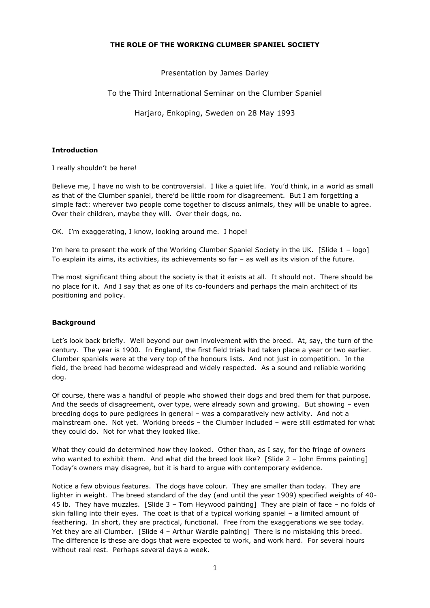## **THE ROLE OF THE WORKING CLUMBER SPANIEL SOCIETY**

Presentation by James Darley

To the Third International Seminar on the Clumber Spaniel

Harjaro, Enkoping, Sweden on 28 May 1993

# **Introduction**

I really shouldn"t be here!

Believe me, I have no wish to be controversial. I like a quiet life. You"d think, in a world as small as that of the Clumber spaniel, there'd be little room for disagreement. But I am forgetting a simple fact: wherever two people come together to discuss animals, they will be unable to agree. Over their children, maybe they will. Over their dogs, no.

OK. I'm exaggerating, I know, looking around me. I hope!

I"m here to present the work of the Working Clumber Spaniel Society in the UK. [Slide 1 – logo] To explain its aims, its activities, its achievements so far – as well as its vision of the future.

The most significant thing about the society is that it exists at all. It should not. There should be no place for it. And I say that as one of its co-founders and perhaps the main architect of its positioning and policy.

# **Background**

Let"s look back briefly. Well beyond our own involvement with the breed. At, say, the turn of the century. The year is 1900. In England, the first field trials had taken place a year or two earlier. Clumber spaniels were at the very top of the honours lists. And not just in competition. In the field, the breed had become widespread and widely respected. As a sound and reliable working dog.

Of course, there was a handful of people who showed their dogs and bred them for that purpose. And the seeds of disagreement, over type, were already sown and growing. But showing – even breeding dogs to pure pedigrees in general – was a comparatively new activity. And not a mainstream one. Not yet. Working breeds – the Clumber included – were still estimated for what they could do. Not for what they looked like.

What they could do determined *how* they looked. Other than, as I say, for the fringe of owners who wanted to exhibit them. And what did the breed look like? [Slide 2 - John Emms painting] Today"s owners may disagree, but it is hard to argue with contemporary evidence.

Notice a few obvious features. The dogs have colour. They are smaller than today. They are lighter in weight. The breed standard of the day (and until the year 1909) specified weights of 40- 45 lb. They have muzzles. [Slide 3 – Tom Heywood painting] They are plain of face – no folds of skin falling into their eyes. The coat is that of a typical working spaniel – a limited amount of feathering. In short, they are practical, functional. Free from the exaggerations we see today. Yet they are all Clumber. [Slide 4 - Arthur Wardle painting] There is no mistaking this breed. The difference is these are dogs that were expected to work, and work hard. For several hours without real rest. Perhaps several days a week.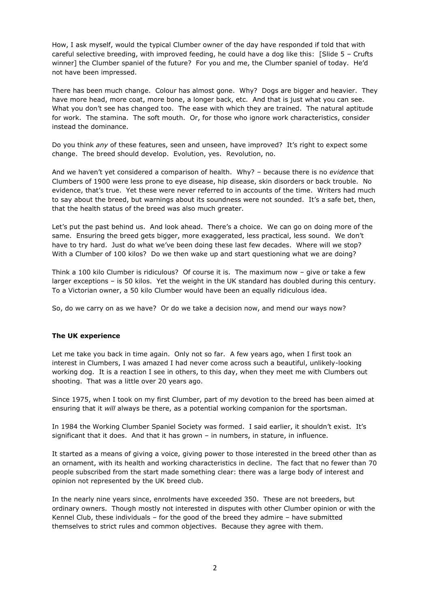How, I ask myself, would the typical Clumber owner of the day have responded if told that with careful selective breeding, with improved feeding, he could have a dog like this: [Slide 5 – Crufts winner] the Clumber spaniel of the future? For you and me, the Clumber spaniel of today. He"d not have been impressed.

There has been much change. Colour has almost gone. Why? Dogs are bigger and heavier. They have more head, more coat, more bone, a longer back, etc. And that is just what you can see. What you don't see has changed too. The ease with which they are trained. The natural aptitude for work. The stamina. The soft mouth. Or, for those who ignore work characteristics, consider instead the dominance.

Do you think *any* of these features, seen and unseen, have improved? It"s right to expect some change. The breed should develop. Evolution, yes. Revolution, no.

And we haven"t yet considered a comparison of health. Why? – because there is no *evidence* that Clumbers of 1900 were less prone to eye disease, hip disease, skin disorders or back trouble. No evidence, that's true. Yet these were never referred to in accounts of the time. Writers had much to say about the breed, but warnings about its soundness were not sounded. It's a safe bet, then, that the health status of the breed was also much greater.

Let's put the past behind us. And look ahead. There's a choice. We can go on doing more of the same. Ensuring the breed gets bigger, more exaggerated, less practical, less sound. We don't have to try hard. Just do what we've been doing these last few decades. Where will we stop? With a Clumber of 100 kilos? Do we then wake up and start questioning what we are doing?

Think a 100 kilo Clumber is ridiculous? Of course it is. The maximum now – give or take a few larger exceptions – is 50 kilos. Yet the weight in the UK standard has doubled during this century. To a Victorian owner, a 50 kilo Clumber would have been an equally ridiculous idea.

So, do we carry on as we have? Or do we take a decision now, and mend our ways now?

#### **The UK experience**

Let me take you back in time again. Only not so far. A few years ago, when I first took an interest in Clumbers, I was amazed I had never come across such a beautiful, unlikely-looking working dog. It is a reaction I see in others, to this day, when they meet me with Clumbers out shooting. That was a little over 20 years ago.

Since 1975, when I took on my first Clumber, part of my devotion to the breed has been aimed at ensuring that it *will* always be there, as a potential working companion for the sportsman.

In 1984 the Working Clumber Spaniel Society was formed. I said earlier, it shouldn't exist. It's significant that it does. And that it has grown – in numbers, in stature, in influence.

It started as a means of giving a voice, giving power to those interested in the breed other than as an ornament, with its health and working characteristics in decline. The fact that no fewer than 70 people subscribed from the start made something clear: there was a large body of interest and opinion not represented by the UK breed club.

In the nearly nine years since, enrolments have exceeded 350. These are not breeders, but ordinary owners. Though mostly not interested in disputes with other Clumber opinion or with the Kennel Club, these individuals – for the good of the breed they admire – have submitted themselves to strict rules and common objectives. Because they agree with them.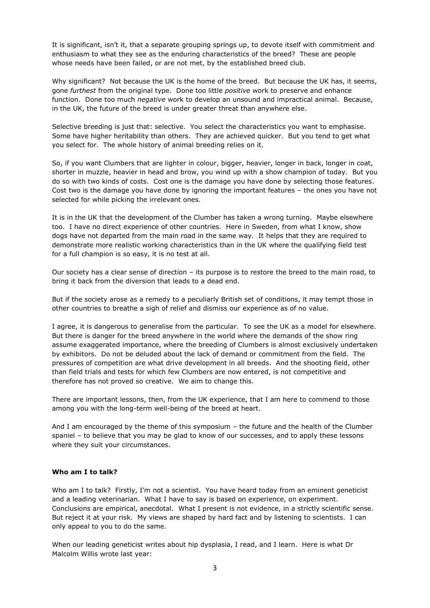It is significant, isn't it, that a separate grouping springs up, to devote itself with commitment and enthusiasm to what they see as the enduring characteristics of the breed? These are people whose needs have been failed, or are not met, by the established breed club.

Why significant? Not because the UK is the home of the breed. But because the UK has, it seems, gone *furthest* from the original type. Done too little *positive* work to preserve and enhance function. Done too much *negative* work to develop an unsound and impractical animal. Because, in the UK, the future of the breed is under greater threat than anywhere else.

Selective breeding is just that: selective. You select the characteristics you want to emphasise. Some have higher heritability than others. They are achieved quicker. But you tend to get what you select for. The whole history of animal breeding relies on it.

So, if you want Clumbers that are lighter in colour, bigger, heavier, longer in back, longer in coat, shorter in muzzle, heavier in head and brow, you wind up with a show champion of today. But you do so with two kinds of costs. Cost one is the damage you have done by selecting those features. Cost two is the damage you have done by ignoring the important features – the ones you have not selected for while picking the irrelevant ones.

It is in the UK that the development of the Clumber has taken a wrong turning. Maybe elsewhere too. I have no direct experience of other countries. Here in Sweden, from what I know, show dogs have not departed from the main road in the same way. It helps that they are required to demonstrate more realistic working characteristics than in the UK where the qualifying field test for a full champion is so easy, it is no test at all.

Our society has a clear sense of direction – its purpose is to restore the breed to the main road, to bring it back from the diversion that leads to a dead end.

But if the society arose as a remedy to a peculiarly British set of conditions, it may tempt those in other countries to breathe a sigh of relief and dismiss our experience as of no value.

I agree, it is dangerous to generalise from the particular. To see the UK as a model for elsewhere. But there is danger for the breed anywhere in the world where the demands of the show ring assume exaggerated importance, where the breeding of Clumbers is almost exclusively undertaken by exhibitors. Do not be deluded about the lack of demand or commitment from the field. The pressures of competition are what drive development in all breeds. And the shooting field, other than field trials and tests for which few Clumbers are now entered, is not competitive and therefore has not proved so creative. We aim to change this.

There are important lessons, then, from the UK experience, that I am here to commend to those among you with the long-term well-being of the breed at heart.

And I am encouraged by the theme of this symposium – the future and the health of the Clumber spaniel – to believe that you may be glad to know of our successes, and to apply these lessons where they suit your circumstances.

### **Who am I to talk?**

Who am I to talk? Firstly, I'm not a scientist. You have heard today from an eminent geneticist and a leading veterinarian. What I have to say is based on experience, on experiment. Conclusions are empirical, anecdotal. What I present is not evidence, in a strictly scientific sense. But reject it at your risk. My views are shaped by hard fact and by listening to scientists. I can only appeal to you to do the same.

When our leading geneticist writes about hip dysplasia, I read, and I learn. Here is what Dr Malcolm Willis wrote last year: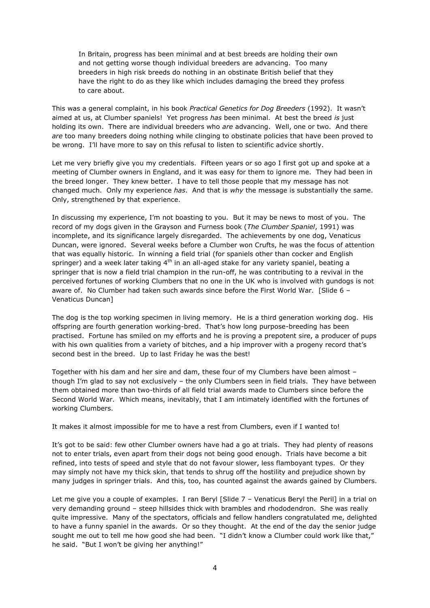In Britain, progress has been minimal and at best breeds are holding their own and not getting worse though individual breeders are advancing. Too many breeders in high risk breeds do nothing in an obstinate British belief that they have the right to do as they like which includes damaging the breed they profess to care about.

This was a general complaint, in his book *Practical Genetics for Dog Breeders* (1992). It wasn"t aimed at us, at Clumber spaniels! Yet progress *has* been minimal. At best the breed *is* just holding its own. There are individual breeders who *are* advancing. Well, one or two. And there *are* too many breeders doing nothing while clinging to obstinate policies that have been proved to be wrong. I"ll have more to say on this refusal to listen to scientific advice shortly.

Let me very briefly give you my credentials. Fifteen years or so ago I first got up and spoke at a meeting of Clumber owners in England, and it was easy for them to ignore me. They had been in the breed longer. They knew better. I have to tell those people that my message has not changed much. Only my experience *has*. And that is *why* the message is substantially the same. Only, strengthened by that experience.

In discussing my experience, I'm not boasting to you. But it may be news to most of you. The record of my dogs given in the Grayson and Furness book (*The Clumber Spaniel*, 1991) was incomplete, and its significance largely disregarded. The achievements by one dog, Venaticus Duncan, were ignored. Several weeks before a Clumber won Crufts, he was the focus of attention that was equally historic. In winning a field trial (for spaniels other than cocker and English springer) and a week later taking  $4<sup>th</sup>$  in an all-aged stake for any variety spaniel, beating a springer that is now a field trial champion in the run-off, he was contributing to a revival in the perceived fortunes of working Clumbers that no one in the UK who is involved with gundogs is not aware of. No Clumber had taken such awards since before the First World War. [Slide 6 – Venaticus Duncan]

The dog is the top working specimen in living memory. He is a third generation working dog. His offspring are fourth generation working-bred. That"s how long purpose-breeding has been practised. Fortune has smiled on my efforts and he is proving a prepotent sire, a producer of pups with his own qualities from a variety of bitches, and a hip improver with a progeny record that's second best in the breed. Up to last Friday he was the best!

Together with his dam and her sire and dam, these four of my Clumbers have been almost – though I"m glad to say not exclusively – the only Clumbers seen in field trials. They have between them obtained more than two-thirds of all field trial awards made to Clumbers since before the Second World War. Which means, inevitably, that I am intimately identified with the fortunes of working Clumbers.

It makes it almost impossible for me to have a rest from Clumbers, even if I wanted to!

It's got to be said: few other Clumber owners have had a go at trials. They had plenty of reasons not to enter trials, even apart from their dogs not being good enough. Trials have become a bit refined, into tests of speed and style that do not favour slower, less flamboyant types. Or they may simply not have my thick skin, that tends to shrug off the hostility and prejudice shown by many judges in springer trials. And this, too, has counted against the awards gained by Clumbers.

Let me give you a couple of examples. I ran Beryl [Slide 7 - Venaticus Beryl the Peril] in a trial on very demanding ground – steep hillsides thick with brambles and rhododendron. She was really quite impressive. Many of the spectators, officials and fellow handlers congratulated me, delighted to have a funny spaniel in the awards. Or so they thought. At the end of the day the senior judge sought me out to tell me how good she had been. "I didn't know a Clumber could work like that," he said. "But I won"t be giving her anything!"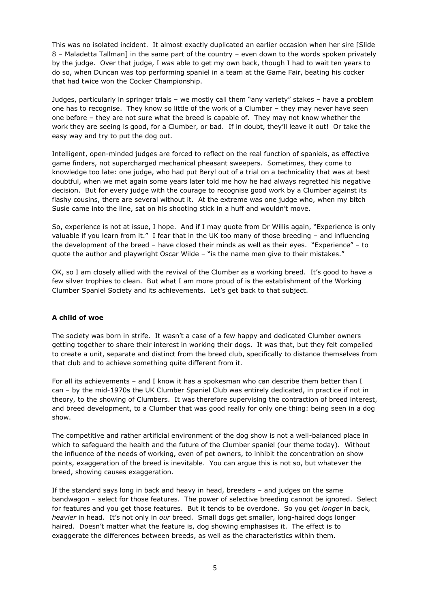This was no isolated incident. It almost exactly duplicated an earlier occasion when her sire [Slide 8 – Maladetta Tallman] in the same part of the country – even down to the words spoken privately by the judge. Over that judge, I *was* able to get my own back, though I had to wait ten years to do so, when Duncan was top performing spaniel in a team at the Game Fair, beating his cocker that had twice won the Cocker Championship.

Judges, particularly in springer trials – we mostly call them "any variety" stakes – have a problem one has to recognise. They know so little of the work of a Clumber – they may never have seen one before – they are not sure what the breed is capable of. They may not know whether the work they are seeing is good, for a Clumber, or bad. If in doubt, they"ll leave it out! Or take the easy way and try to put the dog out.

Intelligent, open-minded judges are forced to reflect on the real function of spaniels, as effective game finders, not supercharged mechanical pheasant sweepers. Sometimes, they come to knowledge too late: one judge, who had put Beryl out of a trial on a technicality that was at best doubtful, when we met again some years later told me how he had always regretted his negative decision. But for every judge with the courage to recognise good work by a Clumber against its flashy cousins, there are several without it. At the extreme was one judge who, when my bitch Susie came into the line, sat on his shooting stick in a huff and wouldn"t move.

So, experience is not at issue, I hope. And if I may quote from Dr Willis again, "Experience is only valuable if you learn from it." I fear that in the UK too many of those breeding – and influencing the development of the breed – have closed their minds as well as their eyes. "Experience" – to quote the author and playwright Oscar Wilde – "is the name men give to their mistakes."

OK, so I am closely allied with the revival of the Clumber as a working breed. It's good to have a few silver trophies to clean. But what I am more proud of is the establishment of the Working Clumber Spaniel Society and its achievements. Let"s get back to that subject.

# **A child of woe**

The society was born in strife. It wasn't a case of a few happy and dedicated Clumber owners getting together to share their interest in working their dogs. It was that, but they felt compelled to create a unit, separate and distinct from the breed club, specifically to distance themselves from that club and to achieve something quite different from it.

For all its achievements – and I know it has a spokesman who can describe them better than I can – by the mid-1970s the UK Clumber Spaniel Club was entirely dedicated, in practice if not in theory, to the showing of Clumbers. It was therefore supervising the contraction of breed interest, and breed development, to a Clumber that was good really for only one thing: being seen in a dog show.

The competitive and rather artificial environment of the dog show is not a well-balanced place in which to safeguard the health and the future of the Clumber spaniel (our theme today). Without the influence of the needs of working, even of pet owners, to inhibit the concentration on show points, exaggeration of the breed is inevitable. You can argue this is not so, but whatever the breed, showing causes exaggeration.

If the standard says long in back and heavy in head, breeders – and judges on the same bandwagon – select for those features. The power of selective breeding cannot be ignored. Select for features and you get those features. But it tends to be overdone. So you get *longer* in back, *heavier* in head. It"s not only in *our* breed. Small dogs get smaller, long-haired dogs longer haired. Doesn"t matter what the feature is, dog showing emphasises it. The effect is to exaggerate the differences between breeds, as well as the characteristics within them.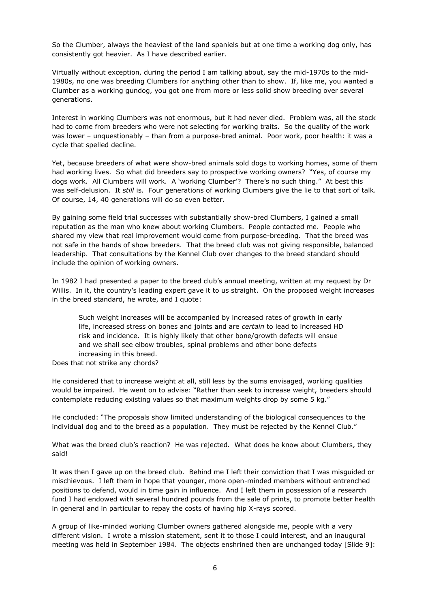So the Clumber, always the heaviest of the land spaniels but at one time a working dog only, has consistently got heavier. As I have described earlier.

Virtually without exception, during the period I am talking about, say the mid-1970s to the mid-1980s, no one was breeding Clumbers for anything other than to show. If, like me, you wanted a Clumber as a working gundog, you got one from more or less solid show breeding over several generations.

Interest in working Clumbers was not enormous, but it had never died. Problem was, all the stock had to come from breeders who were not selecting for working traits. So the quality of the work was lower – unquestionably – than from a purpose-bred animal. Poor work, poor health: it was a cycle that spelled decline.

Yet, because breeders of what were show-bred animals sold dogs to working homes, some of them had working lives. So what did breeders say to prospective working owners? "Yes, of course my dogs work. All Clumbers will work. A 'working Clumber'? There's no such thing." At best this was self-delusion. It *still* is. Four generations of working Clumbers give the lie to that sort of talk. Of course, 14, 40 generations will do so even better.

By gaining some field trial successes with substantially show-bred Clumbers, I gained a small reputation as the man who knew about working Clumbers. People contacted me. People who shared my view that real improvement would come from purpose-breeding. That the breed was not safe in the hands of show breeders. That the breed club was not giving responsible, balanced leadership. That consultations by the Kennel Club over changes to the breed standard should include the opinion of working owners.

In 1982 I had presented a paper to the breed club"s annual meeting, written at my request by Dr Willis. In it, the country's leading expert gave it to us straight. On the proposed weight increases in the breed standard, he wrote, and I quote:

Such weight increases will be accompanied by increased rates of growth in early life, increased stress on bones and joints and are *certain* to lead to increased HD risk and incidence. It is highly likely that other bone/growth defects will ensue and we shall see elbow troubles, spinal problems and other bone defects increasing in this breed.

Does that not strike any chords?

He considered that to increase weight at all, still less by the sums envisaged, working qualities would be impaired. He went on to advise: "Rather than seek to increase weight, breeders should contemplate reducing existing values so that maximum weights drop by some 5 kg."

He concluded: "The proposals show limited understanding of the biological consequences to the individual dog and to the breed as a population. They must be rejected by the Kennel Club."

What was the breed club's reaction? He was rejected. What does he know about Clumbers, they said!

It was then I gave up on the breed club. Behind me I left their conviction that I was misguided or mischievous. I left them in hope that younger, more open-minded members without entrenched positions to defend, would in time gain in influence. And I left them in possession of a research fund I had endowed with several hundred pounds from the sale of prints, to promote better health in general and in particular to repay the costs of having hip X-rays scored.

A group of like-minded working Clumber owners gathered alongside me, people with a very different vision. I wrote a mission statement, sent it to those I could interest, and an inaugural meeting was held in September 1984. The objects enshrined then are unchanged today [Slide 9]: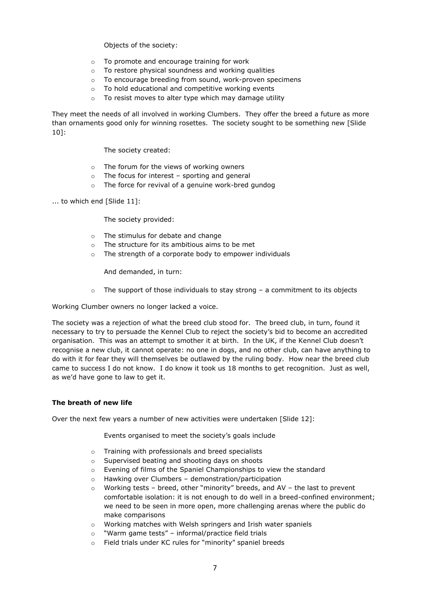Objects of the society:

- o To promote and encourage training for work
- o To restore physical soundness and working qualities
- o To encourage breeding from sound, work-proven specimens
- o To hold educational and competitive working events
- o To resist moves to alter type which may damage utility

They meet the needs of all involved in working Clumbers. They offer the breed a future as more than ornaments good only for winning rosettes. The society sought to be something new [Slide 10]:

The society created:

- o The forum for the views of working owners
- $\circ$  The focus for interest sporting and general
- o The force for revival of a genuine work-bred gundog
- ... to which end [Slide 11]:

The society provided:

- o The stimulus for debate and change
- o The structure for its ambitious aims to be met
- o The strength of a corporate body to empower individuals

And demanded, in turn:

 $\circ$  The support of those individuals to stay strong – a commitment to its objects

Working Clumber owners no longer lacked a voice.

The society was a rejection of what the breed club stood for. The breed club, in turn, found it necessary to try to persuade the Kennel Club to reject the society"s bid to become an accredited organisation. This was an attempt to smother it at birth. In the UK, if the Kennel Club doesn"t recognise a new club, it cannot operate: no one in dogs, and no other club, can have anything to do with it for fear they will themselves be outlawed by the ruling body. How near the breed club came to success I do not know. I do know it took us 18 months to get recognition. Just as well, as we"d have gone to law to get it.

#### **The breath of new life**

Over the next few years a number of new activities were undertaken [Slide 12]:

Events organised to meet the society's goals include

- o Training with professionals and breed specialists
- o Supervised beating and shooting days on shoots
- o Evening of films of the Spaniel Championships to view the standard
- o Hawking over Clumbers demonstration/participation
- $\circ$  Working tests breed, other "minority" breeds, and AV the last to prevent comfortable isolation: it is not enough to do well in a breed-confined environment; we need to be seen in more open, more challenging arenas where the public do make comparisons
- o Working matches with Welsh springers and Irish water spaniels
- o "Warm game tests" informal/practice field trials
- o Field trials under KC rules for "minority" spaniel breeds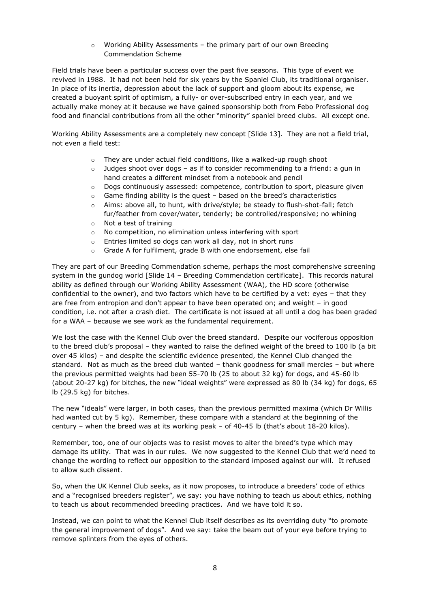o Working Ability Assessments – the primary part of our own Breeding Commendation Scheme

Field trials have been a particular success over the past five seasons. This type of event we revived in 1988. It had not been held for six years by the Spaniel Club, its traditional organiser. In place of its inertia, depression about the lack of support and gloom about its expense, we created a buoyant spirit of optimism, a fully- or over-subscribed entry in each year, and we actually make money at it because we have gained sponsorship both from Febo Professional dog food and financial contributions from all the other "minority" spaniel breed clubs. All except one.

Working Ability Assessments are a completely new concept [Slide 13]. They are not a field trial, not even a field test:

- $\circ$  They are under actual field conditions, like a walked-up rough shoot
- $\circ$  Judges shoot over dogs as if to consider recommending to a friend: a gun in hand creates a different mindset from a notebook and pencil
- $\circ$  Dogs continuously assessed: competence, contribution to sport, pleasure given
- o Game finding ability is the quest based on the breed"s characteristics
- $\circ$  Aims: above all, to hunt, with drive/style; be steady to flush-shot-fall; fetch fur/feather from cover/water, tenderly; be controlled/responsive; no whining
- o Not a test of training
- o No competition, no elimination unless interfering with sport
- o Entries limited so dogs can work all day, not in short runs
- o Grade A for fulfilment, grade B with one endorsement, else fail

They are part of our Breeding Commendation scheme, perhaps the most comprehensive screening system in the gundog world [Slide 14 – Breeding Commendation certificate]. This records natural ability as defined through our Working Ability Assessment (WAA), the HD score (otherwise confidential to the owner), and two factors which have to be certified by a vet: eyes – that they are free from entropion and don"t appear to have been operated on; and weight – in good condition, i.e. not after a crash diet. The certificate is not issued at all until a dog has been graded for a WAA – because we see work as the fundamental requirement.

We lost the case with the Kennel Club over the breed standard. Despite our vociferous opposition to the breed club"s proposal – they wanted to raise the defined weight of the breed to 100 lb (a bit over 45 kilos) – and despite the scientific evidence presented, the Kennel Club changed the standard. Not as much as the breed club wanted – thank goodness for small mercies – but where the previous permitted weights had been 55-70 lb (25 to about 32 kg) for dogs, and 45-60 lb (about 20-27 kg) for bitches, the new "ideal weights" were expressed as 80 lb (34 kg) for dogs, 65 lb (29.5 kg) for bitches.

The new "ideals" were larger, in both cases, than the previous permitted maxima (which Dr Willis had wanted cut by 5 kg). Remember, these compare with a standard at the beginning of the century – when the breed was at its working peak – of 40-45 lb (that's about  $18-20$  kilos).

Remember, too, one of our objects was to resist moves to alter the breed"s type which may damage its utility. That was in our rules. We now suggested to the Kennel Club that we"d need to change the wording to reflect our opposition to the standard imposed against our will. It refused to allow such dissent.

So, when the UK Kennel Club seeks, as it now proposes, to introduce a breeders" code of ethics and a "recognised breeders register", we say: you have nothing to teach us about ethics, nothing to teach us about recommended breeding practices. And we have told it so.

Instead, we can point to what the Kennel Club itself describes as its overriding duty "to promote the general improvement of dogs". And we say: take the beam out of your eye before trying to remove splinters from the eyes of others.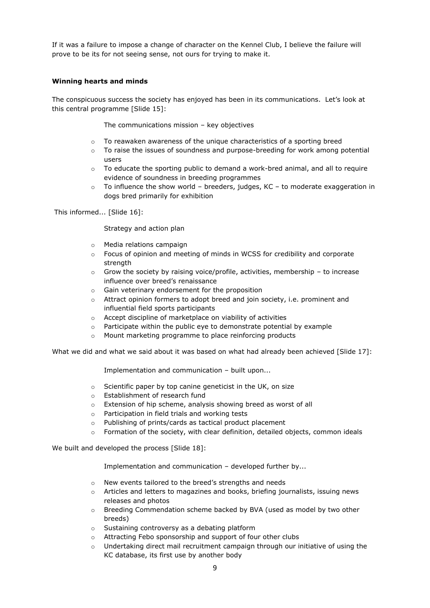If it was a failure to impose a change of character on the Kennel Club, I believe the failure will prove to be its for not seeing sense, not ours for trying to make it.

## **Winning hearts and minds**

The conspicuous success the society has enjoyed has been in its communications. Let"s look at this central programme [Slide 15]:

The communications mission – key objectives

- $\circ$  To reawaken awareness of the unique characteristics of a sporting breed
- $\circ$  To raise the issues of soundness and purpose-breeding for work among potential users
- $\circ$  To educate the sporting public to demand a work-bred animal, and all to require evidence of soundness in breeding programmes
- $\circ$  To influence the show world breeders, judges, KC to moderate exaggeration in dogs bred primarily for exhibition

This informed... [Slide 16]:

Strategy and action plan

- o Media relations campaign
- $\circ$  Focus of opinion and meeting of minds in WCSS for credibility and corporate strength
- o Grow the society by raising voice/profile, activities, membership to increase influence over breed's renaissance
- o Gain veterinary endorsement for the proposition
- o Attract opinion formers to adopt breed and join society, i.e. prominent and influential field sports participants
- Accept discipline of marketplace on viability of activities
- o Participate within the public eye to demonstrate potential by example
- o Mount marketing programme to place reinforcing products

What we did and what we said about it was based on what had already been achieved [Slide 17]:

Implementation and communication – built upon...

- o Scientific paper by top canine geneticist in the UK, on size
- o Establishment of research fund
- Extension of hip scheme, analysis showing breed as worst of all
- o Participation in field trials and working tests
- o Publishing of prints/cards as tactical product placement
- $\circ$  Formation of the society, with clear definition, detailed objects, common ideals

We built and developed the process [Slide 18]:

Implementation and communication – developed further by...

- o New events tailored to the breed"s strengths and needs
- $\circ$  Articles and letters to magazines and books, briefing journalists, issuing news releases and photos
- o Breeding Commendation scheme backed by BVA (used as model by two other breeds)
- o Sustaining controversy as a debating platform
- o Attracting Febo sponsorship and support of four other clubs
- $\circ$  Undertaking direct mail recruitment campaign through our initiative of using the KC database, its first use by another body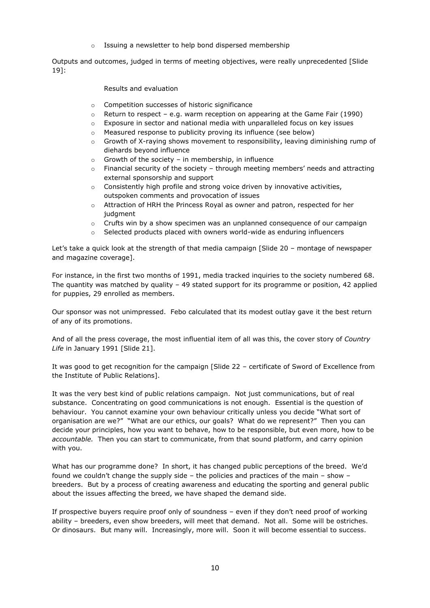o Issuing a newsletter to help bond dispersed membership

Outputs and outcomes, judged in terms of meeting objectives, were really unprecedented [Slide 19]:

### Results and evaluation

- o Competition successes of historic significance
- $\circ$  Return to respect e.g. warm reception on appearing at the Game Fair (1990)
- $\circ$  Exposure in sector and national media with unparalleled focus on key issues
- o Measured response to publicity proving its influence (see below)
- $\circ$  Growth of X-raying shows movement to responsibility, leaving diminishing rump of diehards beyond influence
- $\circ$  Growth of the society in membership, in influence
- $\circ$  Financial security of the society through meeting members' needs and attracting external sponsorship and support
- $\circ$  Consistently high profile and strong voice driven by innovative activities, outspoken comments and provocation of issues
- o Attraction of HRH the Princess Royal as owner and patron, respected for her judgment
- $\circ$  Crufts win by a show specimen was an unplanned consequence of our campaign
- o Selected products placed with owners world-wide as enduring influencers

Let's take a quick look at the strength of that media campaign [Slide 20 - montage of newspaper and magazine coverage].

For instance, in the first two months of 1991, media tracked inquiries to the society numbered 68. The quantity was matched by quality – 49 stated support for its programme or position, 42 applied for puppies, 29 enrolled as members.

Our sponsor was not unimpressed. Febo calculated that its modest outlay gave it the best return of any of its promotions.

And of all the press coverage, the most influential item of all was this, the cover story of *Country Life* in January 1991 [Slide 21].

It was good to get recognition for the campaign [Slide 22 – certificate of Sword of Excellence from the Institute of Public Relations].

It was the very best kind of public relations campaign. Not just communications, but of real substance. Concentrating on good communications is not enough. Essential is the question of behaviour. You cannot examine your own behaviour critically unless you decide "What sort of organisation are we?" "What are our ethics, our goals? What do we represent?" Then you can decide your principles, how you want to behave, how to be responsible, but even more, how to be *accountable.* Then you can start to communicate, from that sound platform, and carry opinion with you.

What has our programme done? In short, it has changed public perceptions of the breed. We"d found we couldn"t change the supply side – the policies and practices of the main – show – breeders. But by a process of creating awareness and educating the sporting and general public about the issues affecting the breed, we have shaped the demand side.

If prospective buyers require proof only of soundness – even if they don"t need proof of working ability – breeders, even show breeders, will meet that demand. Not all. Some will be ostriches. Or dinosaurs. But many will. Increasingly, more will. Soon it will become essential to success.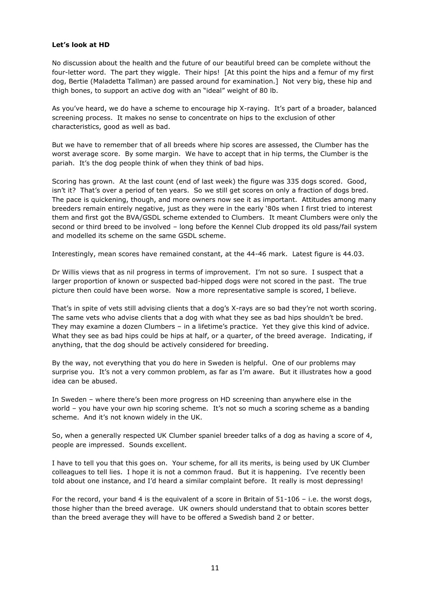#### **Let's look at HD**

No discussion about the health and the future of our beautiful breed can be complete without the four-letter word. The part they wiggle. Their hips! [At this point the hips and a femur of my first dog, Bertie (Maladetta Tallman) are passed around for examination.] Not very big, these hip and thigh bones, to support an active dog with an "ideal" weight of 80 lb.

As you"ve heard, we do have a scheme to encourage hip X-raying. It"s part of a broader, balanced screening process. It makes no sense to concentrate on hips to the exclusion of other characteristics, good as well as bad.

But we have to remember that of all breeds where hip scores are assessed, the Clumber has the worst average score. By some margin. We have to accept that in hip terms, the Clumber is the pariah. It's the dog people think of when they think of bad hips.

Scoring has grown. At the last count (end of last week) the figure was 335 dogs scored. Good, isn't it? That's over a period of ten years. So we still get scores on only a fraction of dogs bred. The pace is quickening, though, and more owners now see it as important. Attitudes among many breeders remain entirely negative, just as they were in the early "80s when I first tried to interest them and first got the BVA/GSDL scheme extended to Clumbers. It meant Clumbers were only the second or third breed to be involved – long before the Kennel Club dropped its old pass/fail system and modelled its scheme on the same GSDL scheme.

Interestingly, mean scores have remained constant, at the 44-46 mark. Latest figure is 44.03.

Dr Willis views that as nil progress in terms of improvement. I"m not so sure. I suspect that a larger proportion of known or suspected bad-hipped dogs were not scored in the past. The true picture then could have been worse. Now a more representative sample is scored, I believe.

That's in spite of vets still advising clients that a dog's X-rays are so bad they're not worth scoring. The same vets who advise clients that a dog with what they see as bad hips shouldn"t be bred. They may examine a dozen Clumbers - in a lifetime's practice. Yet they give this kind of advice. What they see as bad hips could be hips at half, or a quarter, of the breed average. Indicating, if anything, that the dog should be actively considered for breeding.

By the way, not everything that you do here in Sweden is helpful. One of our problems may surprise you. It's not a very common problem, as far as I'm aware. But it illustrates how a good idea can be abused.

In Sweden – where there"s been more progress on HD screening than anywhere else in the world – you have your own hip scoring scheme. It's not so much a scoring scheme as a banding scheme. And it's not known widely in the UK.

So, when a generally respected UK Clumber spaniel breeder talks of a dog as having a score of 4, people are impressed. Sounds excellent.

I have to tell you that this goes on. Your scheme, for all its merits, is being used by UK Clumber colleagues to tell lies. I hope it is not a common fraud. But it is happening. I"ve recently been told about one instance, and I'd heard a similar complaint before. It really is most depressing!

For the record, your band 4 is the equivalent of a score in Britain of 51-106 – i.e. the worst dogs, those higher than the breed average. UK owners should understand that to obtain scores better than the breed average they will have to be offered a Swedish band 2 or better.